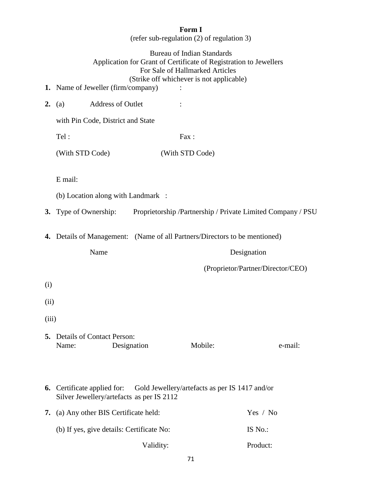## **Form I**

(refer sub-regulation (2) of regulation 3)

## Bureau of Indian Standards Application for Grant of Certificate of Registration to Jewellers For Sale of Hallmarked Articles (Strike off whichever is not applicable)

- **1.** Name of Jeweller (firm/company) :
- **2.** (a) Address of Outlet :

with Pin Code, District and State

Tel : Fax : (With STD Code) (With STD Code)

## E mail:

- (b) Location along with Landmark :
- **3.** Type of Ownership: Proprietorship / Partnership / Private Limited Company / PSU
- **4.** Details of Management: (Name of all Partners/Directors to be mentioned)

Name Designation

(Proprietor/Partner/Director/CEO)

- (i)
- (ii)
- (iii)
- **5.** Details of Contact Person: Name: Designation Mobile: e-mail:
- **6.** Certificate applied for: Gold Jewellery/artefacts as per IS 1417 and/or Silver Jewellery/artefacts as per IS 2112

| 7. (a) Any other BIS Certificate held:    | Yes / No |  |  |
|-------------------------------------------|----------|--|--|
| (b) If yes, give details: Certificate No: | IS No.:  |  |  |
| Validity:                                 | Product: |  |  |